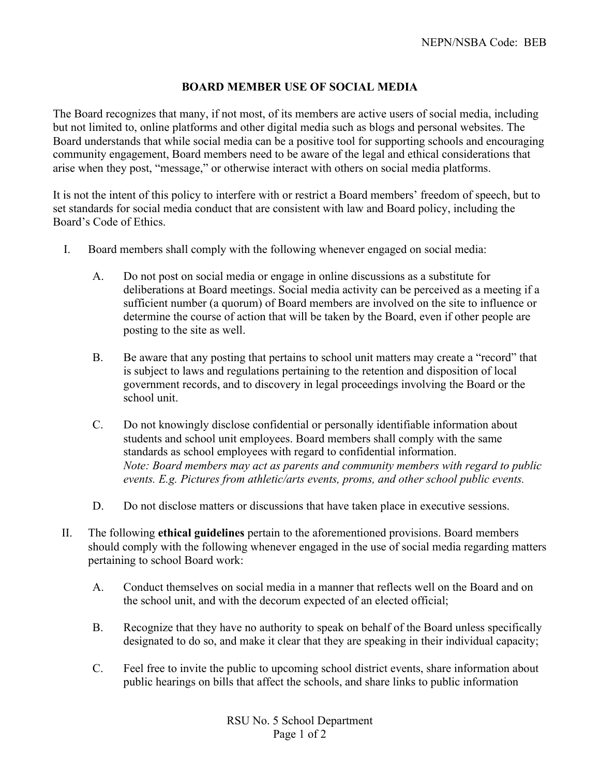## **BOARD MEMBER USE OF SOCIAL MEDIA**

The Board recognizes that many, if not most, of its members are active users of social media, including but not limited to, online platforms and other digital media such as blogs and personal websites. The Board understands that while social media can be a positive tool for supporting schools and encouraging community engagement, Board members need to be aware of the legal and ethical considerations that arise when they post, "message," or otherwise interact with others on social media platforms.

It is not the intent of this policy to interfere with or restrict a Board members' freedom of speech, but to set standards for social media conduct that are consistent with law and Board policy, including the Board's Code of Ethics.

- I. Board members shall comply with the following whenever engaged on social media:
	- A. Do not post on social media or engage in online discussions as a substitute for deliberations at Board meetings. Social media activity can be perceived as a meeting if a sufficient number (a quorum) of Board members are involved on the site to influence or determine the course of action that will be taken by the Board, even if other people are posting to the site as well.
	- B. Be aware that any posting that pertains to school unit matters may create a "record" that is subject to laws and regulations pertaining to the retention and disposition of local government records, and to discovery in legal proceedings involving the Board or the school unit.
	- C. Do not knowingly disclose confidential or personally identifiable information about students and school unit employees. Board members shall comply with the same standards as school employees with regard to confidential information. *Note: Board members may act as parents and community members with regard to public events. E.g. Pictures from athletic/arts events, proms, and other school public events.*
	- D. Do not disclose matters or discussions that have taken place in executive sessions.
- II. The following **ethical guidelines** pertain to the aforementioned provisions. Board members should comply with the following whenever engaged in the use of social media regarding matters pertaining to school Board work:
	- A. Conduct themselves on social media in a manner that reflects well on the Board and on the school unit, and with the decorum expected of an elected official;
	- B. Recognize that they have no authority to speak on behalf of the Board unless specifically designated to do so, and make it clear that they are speaking in their individual capacity;
	- C. Feel free to invite the public to upcoming school district events, share information about public hearings on bills that affect the schools, and share links to public information